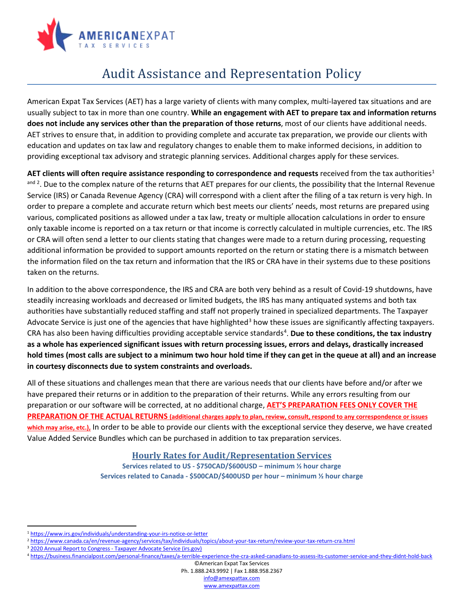

## Audit Assistance and Representation Policy

American Expat Tax Services (AET) has a large variety of clients with many complex, multi-layered tax situations and are usually subject to tax in more than one country. **While an engagement with AET to prepare tax and information returns does not include any services other than the preparation of those returns**, most of our clients have additional needs. AET strives to ensure that, in addition to providing complete and accurate tax preparation, we provide our clients with education and updates on tax law and regulatory changes to enable them to make informed decisions, in addition to providing exceptional tax advisory and strategic planning services. Additional charges apply for these services.

AET clients will often require assistance responding to correspondence and requests received from the tax authorities<sup>1</sup> and [2](#page-0-1). Due to the complex nature of the returns that AET prepares for our clients, the possibility that the Internal Revenue Service (IRS) or Canada Revenue Agency (CRA) will correspond with a client after the filing of a tax return is very high. In order to prepare a complete and accurate return which best meets our clients' needs, most returns are prepared using various, complicated positions as allowed under a tax law, treaty or multiple allocation calculations in order to ensure only taxable income is reported on a tax return or that income is correctly calculated in multiple currencies, etc. The IRS or CRA will often send a letter to our clients stating that changes were made to a return during processing, requesting additional information be provided to support amounts reported on the return or stating there is a mismatch between the information filed on the tax return and information that the IRS or CRA have in their systems due to these positions taken on the returns.

In addition to the above correspondence, the IRS and CRA are both very behind as a result of Covid-19 shutdowns, have steadily increasing workloads and decreased or limited budgets, the IRS has many antiquated systems and both tax authorities have substantially reduced staffing and staff not properly trained in specialized departments. The Taxpayer Advocate Service is just one of the agencies that have highlighted<sup>[3](#page-0-2)</sup> how these issues are significantly affecting taxpayers. CRA has also been having difficulties providing acceptable service standards<sup>[4](#page-0-3)</sup>. Due to these conditions, the tax industry **as a whole has experienced significant issues with return processing issues, errors and delays, drastically increased hold times (most calls are subject to a minimum two hour hold time if they can get in the queue at all) and an increase in courtesy disconnects due to system constraints and overloads.**

All of these situations and challenges mean that there are various needs that our clients have before and/or after we have prepared their returns or in addition to the preparation of their returns. While any errors resulting from our preparation or our software will be corrected, at no additional charge, **AET'S PREPARATION FEES ONLY COVER THE PREPARATION OF THE ACTUAL RETURNS (additional charges apply to plan, review, consult, respond to any correspondence or issues which may arise, etc.),** In order to be able to provide our clients with the exceptional service they deserve, we have created Value Added Service Bundles which can be purchased in addition to tax preparation services.

## **Hourly Rates for Audit/Representation Services**

**Services related to US - \$750CAD/\$600USD – minimum ½ hour charge Services related to Canada - \$500CAD/\$400USD per hour – minimum ½ hour charge**

 $\overline{\phantom{0}}$ 

©American Expat Tax Services Ph. 1.888.243.9992 | Fax 1.888.958.2367 [info@amexpattax.com](mailto:info@amexpattax.com) [www.amexpattax.com](http://www.amexpattax.com/)

<span id="page-0-0"></span><sup>1</sup> <https://www.irs.gov/individuals/understanding-your-irs-notice-or-letter>

<span id="page-0-1"></span><sup>2</sup> <https://www.canada.ca/en/revenue-agency/services/tax/individuals/topics/about-your-tax-return/review-your-tax-return-cra.html>

<span id="page-0-2"></span><sup>&</sup>lt;sup>3</sup> 2020 Annual Report to Congress - Taxpayer Advocate Service (irs.gov)

<span id="page-0-3"></span><sup>4</sup> <https://business.financialpost.com/personal-finance/taxes/a-terrible-experience-the-cra-asked-canadians-to-assess-its-customer-service-and-they-didnt-hold-back>